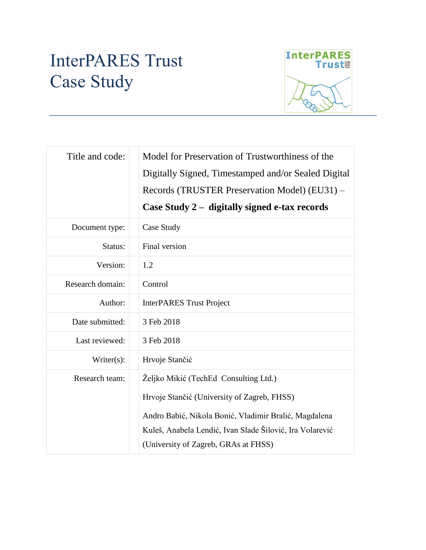# InterPARES Trust Case Study



| Title and code:  | Model for Preservation of Trustworthiness of the<br>Digitally Signed, Timestamped and/or Sealed Digital<br>Records (TRUSTER Preservation Model) (EU31) –<br>Case Study 2 - digitally signed e-tax records                                         |  |
|------------------|---------------------------------------------------------------------------------------------------------------------------------------------------------------------------------------------------------------------------------------------------|--|
| Document type:   | Case Study                                                                                                                                                                                                                                        |  |
| Status:          | Final version                                                                                                                                                                                                                                     |  |
| Version:         | 1.2                                                                                                                                                                                                                                               |  |
| Research domain: | Control                                                                                                                                                                                                                                           |  |
| Author:          | <b>InterPARES Trust Project</b>                                                                                                                                                                                                                   |  |
| Date submitted:  | 3 Feb 2018                                                                                                                                                                                                                                        |  |
| Last reviewed:   | 3 Feb 2018                                                                                                                                                                                                                                        |  |
| Writer(s):       | Hrvoje Stančić                                                                                                                                                                                                                                    |  |
| Research team:   | Željko Mikić (TechEd Consulting Ltd.)<br>Hrvoje Stančić (University of Zagreb, FHSS)<br>Andro Babić, Nikola Bonić, Vladimir Bralić, Magdalena<br>Kuleš, Anabela Lendić, Ivan Slade Šilović, Ira Volarević<br>(University of Zagreb, GRAs at FHSS) |  |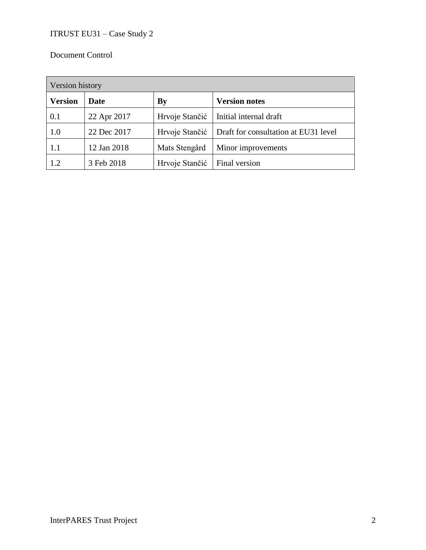# Document Control

| Version history |             |                |                                      |  |
|-----------------|-------------|----------------|--------------------------------------|--|
| <b>Version</b>  | <b>Date</b> | By             | <b>Version notes</b>                 |  |
| 0.1             | 22 Apr 2017 | Hrvoje Stančić | Initial internal draft               |  |
| 1.0             | 22 Dec 2017 | Hrvoje Stančić | Draft for consultation at EU31 level |  |
| 1.1             | 12 Jan 2018 | Mats Stengård  | Minor improvements                   |  |
| 1.2             | 3 Feb 2018  | Hrvoje Stančić | Final version                        |  |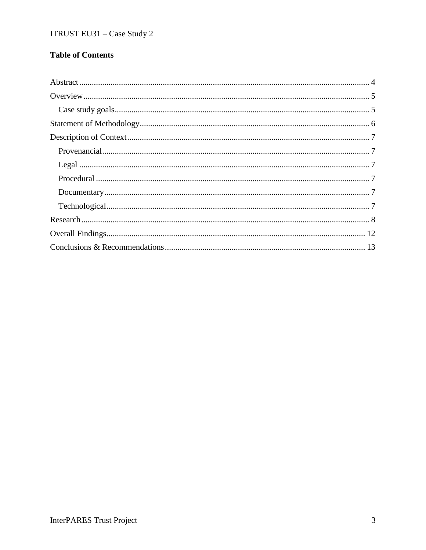# **Table of Contents**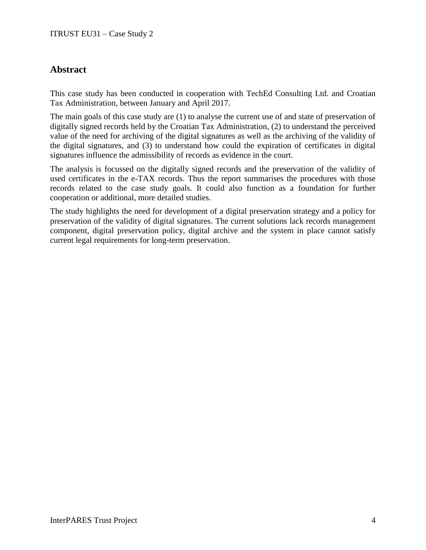# **Abstract**

This case study has been conducted in cooperation with TechEd Consulting Ltd. and Croatian Tax Administration, between January and April 2017.

The main goals of this case study are (1) to analyse the current use of and state of preservation of digitally signed records held by the Croatian Tax Administration, (2) to understand the perceived value of the need for archiving of the digital signatures as well as the archiving of the validity of the digital signatures, and (3) to understand how could the expiration of certificates in digital signatures influence the admissibility of records as evidence in the court.

The analysis is focussed on the digitally signed records and the preservation of the validity of used certificates in the e-TAX records. Thus the report summarises the procedures with those records related to the case study goals. It could also function as a foundation for further cooperation or additional, more detailed studies.

The study highlights the need for development of a digital preservation strategy and a policy for preservation of the validity of digital signatures. The current solutions lack records management component, digital preservation policy, digital archive and the system in place cannot satisfy current legal requirements for long-term preservation.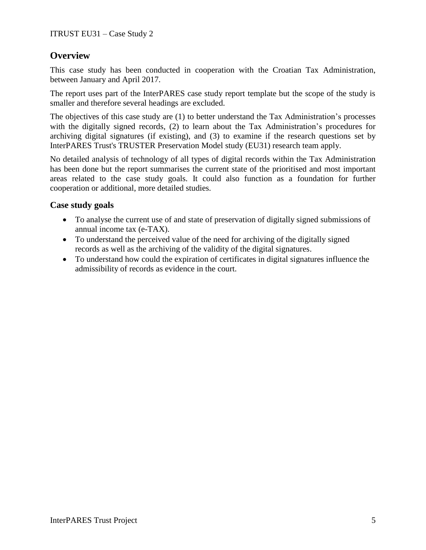# **Overview**

This case study has been conducted in cooperation with the Croatian Tax Administration, between January and April 2017.

The report uses part of the InterPARES case study report template but the scope of the study is smaller and therefore several headings are excluded.

The objectives of this case study are (1) to better understand the Tax Administration's processes with the digitally signed records, (2) to learn about the Tax Administration's procedures for archiving digital signatures (if existing), and (3) to examine if the research questions set by InterPARES Trust's TRUSTER Preservation Model study (EU31) research team apply.

No detailed analysis of technology of all types of digital records within the Tax Administration has been done but the report summarises the current state of the prioritised and most important areas related to the case study goals. It could also function as a foundation for further cooperation or additional, more detailed studies.

# **Case study goals**

- To analyse the current use of and state of preservation of digitally signed submissions of annual income tax (e-TAX).
- To understand the perceived value of the need for archiving of the digitally signed records as well as the archiving of the validity of the digital signatures.
- To understand how could the expiration of certificates in digital signatures influence the admissibility of records as evidence in the court.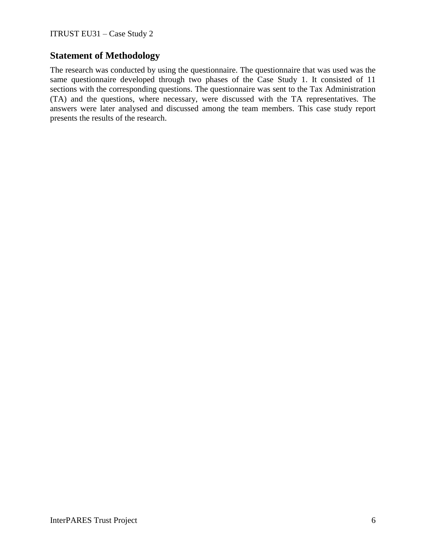# **Statement of Methodology**

The research was conducted by using the questionnaire. The questionnaire that was used was the same questionnaire developed through two phases of the Case Study 1. It consisted of 11 sections with the corresponding questions. The questionnaire was sent to the Tax Administration (TA) and the questions, where necessary, were discussed with the TA representatives. The answers were later analysed and discussed among the team members. This case study report presents the results of the research.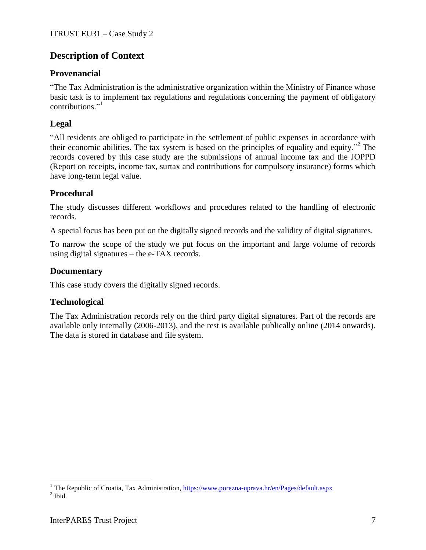# **Description of Context**

# **Provenancial**

"The Tax Administration is the administrative organization within the Ministry of Finance whose basic task is to implement tax regulations and regulations concerning the payment of obligatory contributions." 1

# **Legal**

"All residents are obliged to participate in the settlement of public expenses in accordance with their economic abilities. The tax system is based on the principles of equality and equity." 2 The records covered by this case study are the submissions of annual income tax and the JOPPD (Report on receipts, income tax, surtax and contributions for compulsory insurance) forms which have long-term legal value.

# **Procedural**

The study discusses different workflows and procedures related to the handling of electronic records.

A special focus has been put on the digitally signed records and the validity of digital signatures.

To narrow the scope of the study we put focus on the important and large volume of records using digital signatures – the e-TAX records.

# **Documentary**

This case study covers the digitally signed records.

# **Technological**

The Tax Administration records rely on the third party digital signatures. Part of the records are available only internally (2006-2013), and the rest is available publically online (2014 onwards). The data is stored in database and file system.

 $\overline{a}$ 

<sup>&</sup>lt;sup>1</sup> The Republic of Croatia, Tax Administration,<https://www.porezna-uprava.hr/en/Pages/default.aspx>  $<sup>2</sup>$  Ibid.</sup>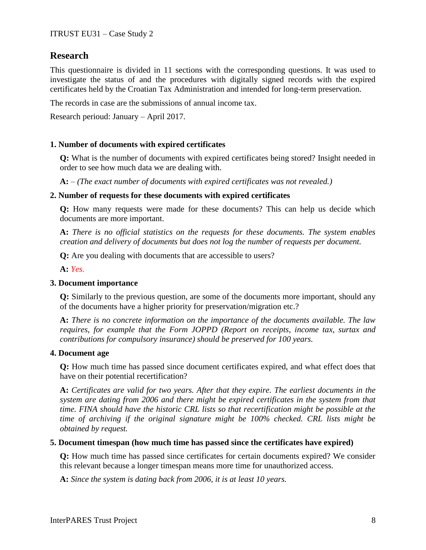# **Research**

This questionnaire is divided in 11 sections with the corresponding questions. It was used to investigate the status of and the procedures with digitally signed records with the expired certificates held by the Croatian Tax Administration and intended for long-term preservation.

The records in case are the submissions of annual income tax.

Research perioud: January – April 2017.

## **1. Number of documents with expired certificates**

**Q:** What is the number of documents with expired certificates being stored? Insight needed in order to see how much data we are dealing with.

**A:** *– (The exact number of documents with expired certificates was not revealed.)*

#### **2. Number of requests for these documents with expired certificates**

**Q:** How many requests were made for these documents? This can help us decide which documents are more important.

**A:** *There is no official statistics on the requests for these documents. The system enables creation and delivery of documents but does not log the number of requests per document.*

**Q:** Are you dealing with documents that are accessible to users?

**A:** *Yes.*

## **3. Document importance**

**Q:** Similarly to the previous question, are some of the documents more important, should any of the documents have a higher priority for preservation/migration etc.?

**A:** *There is no concrete information on the importance of the documents available. The law requires, for example that the Form JOPPD (Report on receipts, income tax, surtax and contributions for compulsory insurance) should be preserved for 100 years.*

#### **4. Document age**

**Q:** How much time has passed since document certificates expired, and what effect does that have on their potential recertification?

**A:** *Certificates are valid for two years. After that they expire. The earliest documents in the system are dating from 2006 and there might be expired certificates in the system from that time. FINA should have the historic CRL lists so that recertification might be possible at the time of archiving if the original signature might be 100% checked. CRL lists might be obtained by request.*

#### **5. Document timespan (how much time has passed since the certificates have expired)**

**Q:** How much time has passed since certificates for certain documents expired? We consider this relevant because a longer timespan means more time for unauthorized access.

**A:** *Since the system is dating back from 2006, it is at least 10 years.*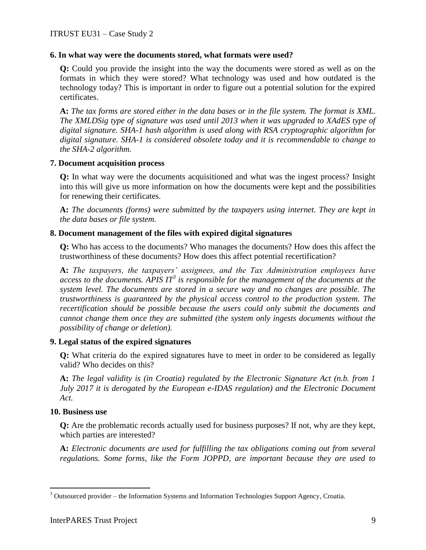## **6. In what way were the documents stored, what formats were used?**

**Q:** Could you provide the insight into the way the documents were stored as well as on the formats in which they were stored? What technology was used and how outdated is the technology today? This is important in order to figure out a potential solution for the expired certificates.

**A:** *The tax forms are stored either in the data bases or in the file system. The format is XML. The XMLDSig type of signature was used until 2013 when it was upgraded to XAdES type of digital signature. SHA-1 hash algorithm is used along with RSA cryptographic algorithm for digital signature. SHA-1 is considered obsolete today and it is recommendable to change to the SHA-2 algorithm.*

## **7. Document acquisition process**

**Q:** In what way were the documents acquisitioned and what was the ingest process? Insight into this will give us more information on how the documents were kept and the possibilities for renewing their certificates.

**A:** *The documents (forms) were submitted by the taxpayers using internet. They are kept in the data bases or file system.*

## **8. Document management of the files with expired digital signatures**

**Q:** Who has access to the documents? Who manages the documents? How does this affect the trustworthiness of these documents? How does this affect potential recertification?

**A:** *The taxpayers, the taxpayers' assignees, and the Tax Administration employees have access to the documents. APIS IT<sup>3</sup> is responsible for the management of the documents at the system level. The documents are stored in a secure way and no changes are possible. The trustworthiness is guaranteed by the physical access control to the production system. The recertification should be possible because the users could only submit the documents and cannot change them once they are submitted (the system only ingests documents without the possibility of change or deletion).*

## **9. Legal status of the expired signatures**

**Q:** What criteria do the expired signatures have to meet in order to be considered as legally valid? Who decides on this?

**A:** *The legal validity is (in Croatia) regulated by the Electronic Signature Act (n.b. from 1 July 2017 it is derogated by the European e-IDAS regulation) and the Electronic Document Act.*

## **10. Business use**

 $\overline{a}$ 

**Q:** Are the problematic records actually used for business purposes? If not, why are they kept, which parties are interested?

**A:** *Electronic documents are used for fulfilling the tax obligations coming out from several regulations. Some forms, like the Form JOPPD, are important because they are used to* 

 $3$  Outsourced provider – the Information Systems and Information Technologies Support Agency, Croatia.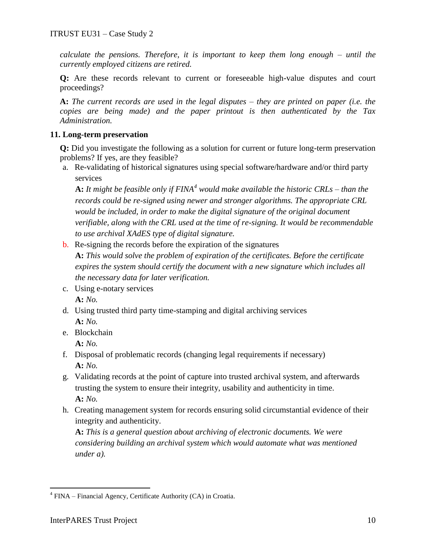*calculate the pensions. Therefore, it is important to keep them long enough – until the currently employed citizens are retired.*

**Q:** Are these records relevant to current or foreseeable high-value disputes and court proceedings?

**A:** *The current records are used in the legal disputes – they are printed on paper (i.e. the copies are being made) and the paper printout is then authenticated by the Tax Administration.*

## **11. Long-term preservation**

**Q:** Did you investigate the following as a solution for current or future long-term preservation problems? If yes, are they feasible?

a. Re-validating of historical signatures using special software/hardware and/or third party services

**A:** *It might be feasible only if FINA<sup>4</sup> would make available the historic CRLs – than the records could be re-signed using newer and stronger algorithms. The appropriate CRL would be included, in order to make the digital signature of the original document verifiable, along with the CRL used at the time of re-signing. It would be recommendable to use archival XAdES type of digital signature.*

- b. Re-signing the records before the expiration of the signatures **A:** *This would solve the problem of expiration of the certificates. Before the certificate expires the system should certify the document with a new signature which includes all the necessary data for later verification.*
- c. Using e-notary services **A:** *No.*
- d. Using trusted third party time-stamping and digital archiving services **A:** *No.*
- e. Blockchain

**A:** *No.*

- f. Disposal of problematic records (changing legal requirements if necessary) **A:** *No.*
- g. Validating records at the point of capture into trusted archival system, and afterwards trusting the system to ensure their integrity, usability and authenticity in time. **A:** *No.*
- h. Creating management system for records ensuring solid circumstantial evidence of their integrity and authenticity.

**A:** *This is a general question about archiving of electronic documents. We were considering building an archival system which would automate what was mentioned under a).* 

 $\overline{a}$ 

<sup>&</sup>lt;sup>4</sup> FINA – Financial Agency, Certificate Authority (CA) in Croatia.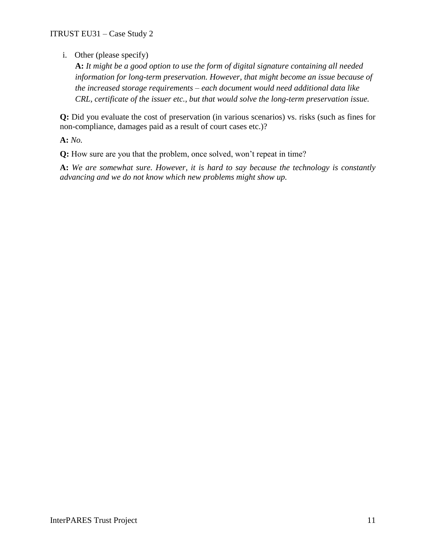i. Other (please specify)

**A:** *It might be a good option to use the form of digital signature containing all needed information for long-term preservation. However, that might become an issue because of the increased storage requirements – each document would need additional data like CRL, certificate of the issuer etc., but that would solve the long-term preservation issue.*

**Q:** Did you evaluate the cost of preservation (in various scenarios) vs. risks (such as fines for non-compliance, damages paid as a result of court cases etc.)?

**A:** *No.*

**Q:** How sure are you that the problem, once solved, won't repeat in time?

**A:** *We are somewhat sure. However, it is hard to say because the technology is constantly advancing and we do not know which new problems might show up.*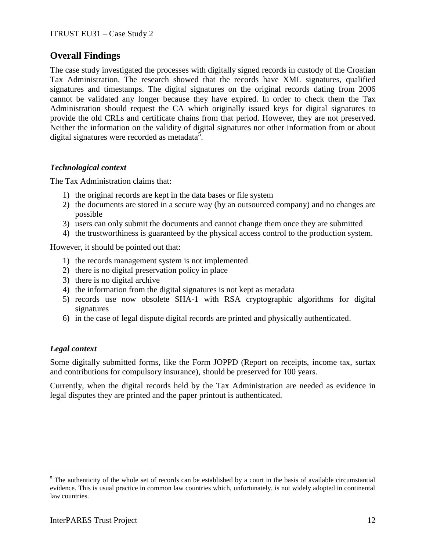# **Overall Findings**

The case study investigated the processes with digitally signed records in custody of the Croatian Tax Administration. The research showed that the records have XML signatures, qualified signatures and timestamps. The digital signatures on the original records dating from 2006 cannot be validated any longer because they have expired. In order to check them the Tax Administration should request the CA which originally issued keys for digital signatures to provide the old CRLs and certificate chains from that period. However, they are not preserved. Neither the information on the validity of digital signatures nor other information from or about digital signatures were recorded as metadata<sup>5</sup>.

# *Technological context*

The Tax Administration claims that:

- 1) the original records are kept in the data bases or file system
- 2) the documents are stored in a secure way (by an outsourced company) and no changes are possible
- 3) users can only submit the documents and cannot change them once they are submitted
- 4) the trustworthiness is guaranteed by the physical access control to the production system.

However, it should be pointed out that:

- 1) the records management system is not implemented
- 2) there is no digital preservation policy in place
- 3) there is no digital archive
- 4) the information from the digital signatures is not kept as metadata
- 5) records use now obsolete SHA-1 with RSA cryptographic algorithms for digital signatures
- 6) in the case of legal dispute digital records are printed and physically authenticated.

## *Legal context*

 $\overline{a}$ 

Some digitally submitted forms, like the Form JOPPD (Report on receipts, income tax, surtax and contributions for compulsory insurance), should be preserved for 100 years.

Currently, when the digital records held by the Tax Administration are needed as evidence in legal disputes they are printed and the paper printout is authenticated.

<sup>&</sup>lt;sup>5</sup> The authenticity of the whole set of records can be established by a court in the basis of available circumstantial evidence. This is usual practice in common law countries which, unfortunately, is not widely adopted in continental law countries.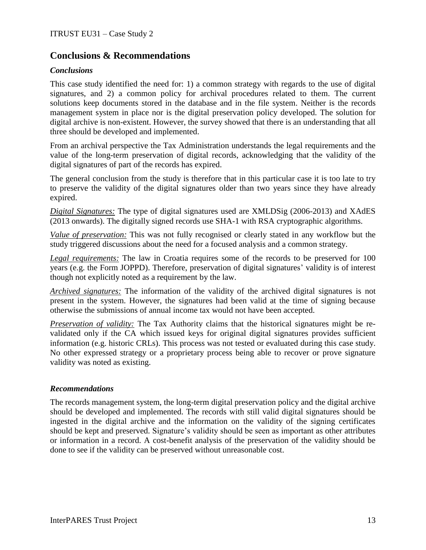# **Conclusions & Recommendations**

## *Conclusions*

This case study identified the need for: 1) a common strategy with regards to the use of digital signatures, and 2) a common policy for archival procedures related to them. The current solutions keep documents stored in the database and in the file system. Neither is the records management system in place nor is the digital preservation policy developed. The solution for digital archive is non-existent. However, the survey showed that there is an understanding that all three should be developed and implemented.

From an archival perspective the Tax Administration understands the legal requirements and the value of the long-term preservation of digital records, acknowledging that the validity of the digital signatures of part of the records has expired.

The general conclusion from the study is therefore that in this particular case it is too late to try to preserve the validity of the digital signatures older than two years since they have already expired.

*Digital Signatures:* The type of digital signatures used are XMLDSig (2006-2013) and XAdES (2013 onwards). The digitally signed records use SHA-1 with RSA cryptographic algorithms.

*Value of preservation:* This was not fully recognised or clearly stated in any workflow but the study triggered discussions about the need for a focused analysis and a common strategy.

*Legal requirements:* The law in Croatia requires some of the records to be preserved for 100 years (e.g. the Form JOPPD). Therefore, preservation of digital signatures' validity is of interest though not explicitly noted as a requirement by the law.

*Archived signatures:* The information of the validity of the archived digital signatures is not present in the system. However, the signatures had been valid at the time of signing because otherwise the submissions of annual income tax would not have been accepted.

*Preservation of validity:* The Tax Authority claims that the historical signatures might be revalidated only if the CA which issued keys for original digital signatures provides sufficient information (e.g. historic CRLs). This process was not tested or evaluated during this case study. No other expressed strategy or a proprietary process being able to recover or prove signature validity was noted as existing.

## *Recommendations*

The records management system, the long-term digital preservation policy and the digital archive should be developed and implemented. The records with still valid digital signatures should be ingested in the digital archive and the information on the validity of the signing certificates should be kept and preserved. Signature's validity should be seen as important as other attributes or information in a record. A cost-benefit analysis of the preservation of the validity should be done to see if the validity can be preserved without unreasonable cost.